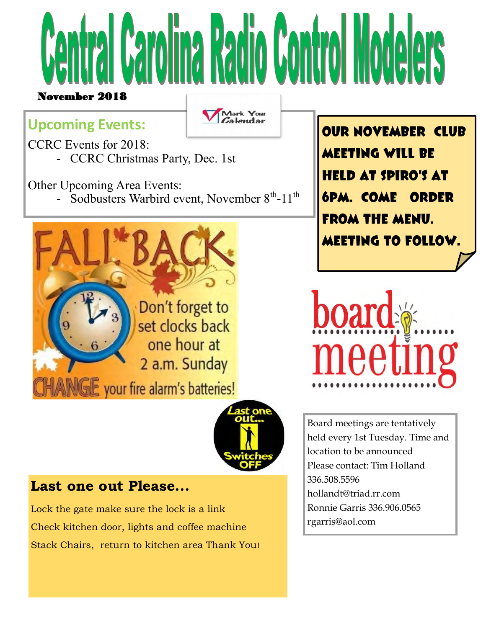

## **Upcoming Events:**

Mark Your<br>Calendar

CCRC Events for 2018:

- CCRC Christmas Party, Dec. 1st

Other Upcoming Area Events:

- Sodbusters Warbird event, November  $8<sup>th</sup>$ -11<sup>th</sup>



**OUR NOVEMBER CLUB Meeting will be held at Spiro's at 6pm. Come order from the menu. Meeting to follow.**





## **Last one out Please...**

Lock the gate make sure the lock is a link Check kitchen door, lights and coffee machine Stack Chairs, return to kitchen area Thank You! Board meetings are tentatively held every 1st Tuesday. Time and location to be announced Please contact: Tim Holland 336.508.5596 hollandt@triad.rr.com Ronnie Garris 336.906.0565 rgarris@aol.com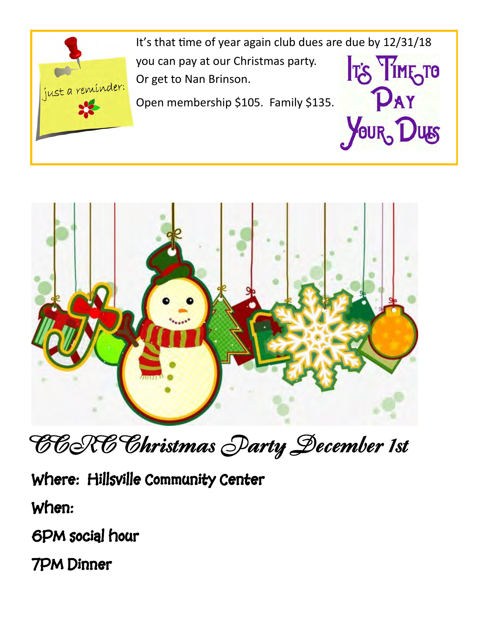

It's that time of year again club dues are due by 12/31/18 **IT'S TIME TO** you can pay at our Christmas party. Or get to Nan Brinson. PAY

YOUR, DUS

Open membership \$105. Family \$135.



**CCRC Christmas Party December 1st** 

**Where: Hillsville Community Center** 

**When:** 

**6PM social hour** 

**7PM Dinner**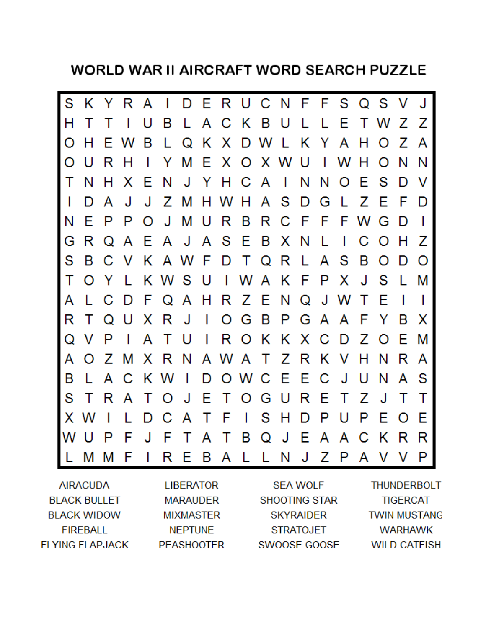**WORLD WAR II AIRCRAFT WORD SEARCH PUZZLE** 



| <b>AIRACUDA</b>        | <b>LIBERATOR</b>  | <b>SEA WOLF</b>  | THUNDERBOLT         |
|------------------------|-------------------|------------------|---------------------|
| <b>BLACK BULLET</b>    | MARAUDER          | SHOOTING STAR    | <b>TIGERCAT</b>     |
| <b>BLACK WIDOW</b>     | <b>MIXMASTER</b>  | <b>SKYRAIDER</b> | <b>TWIN MUSTANG</b> |
| FIREBALL               | <b>NEPTUNE</b>    | <b>STRATOJET</b> | <b>WARHAWK</b>      |
| <b>FLYING FLAPJACK</b> | <b>PEASHOOTER</b> | SWOOSE GOOSE     | <b>WILD CATFISH</b> |